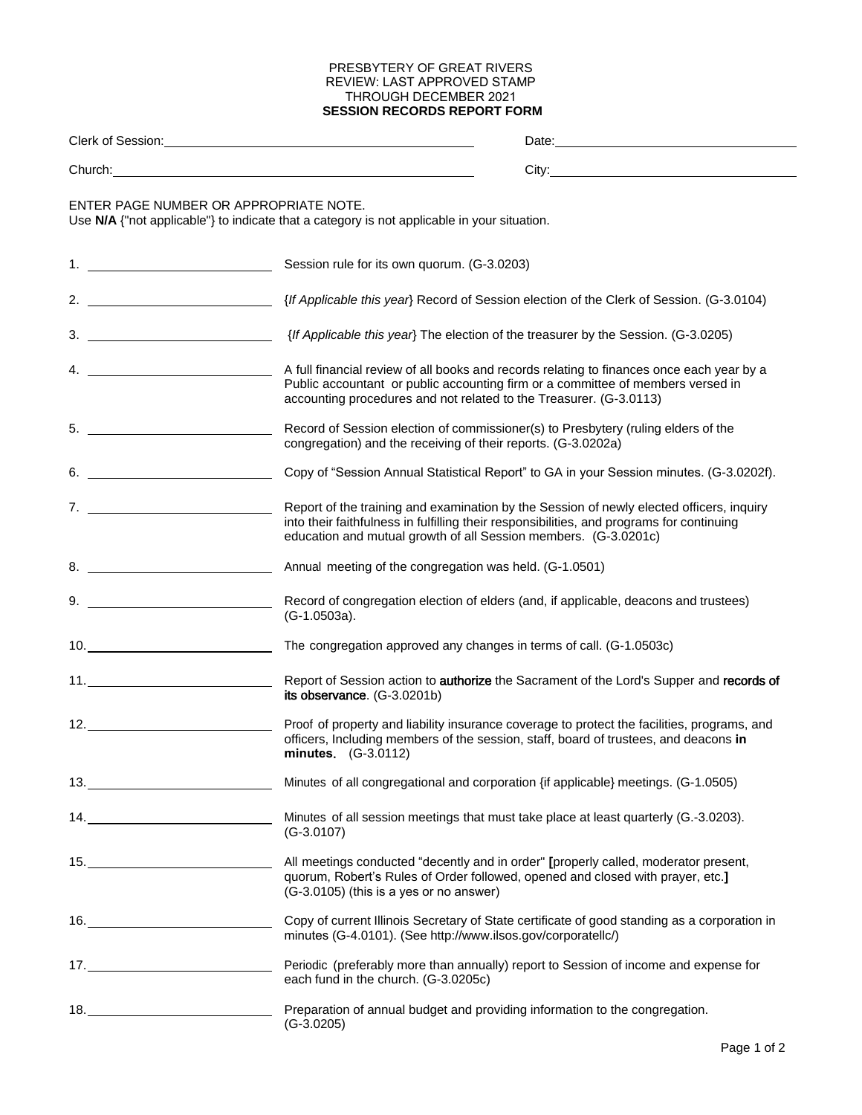## PRESBYTERY OF GREAT RIVERS REVIEW: LAST APPROVED STAMP THROUGH DECEMBER 2021 **SESSION RECORDS REPORT FORM**

|                               | Clerk of Session: Network of Session:                                                                                                                                                                                                                    |
|-------------------------------|----------------------------------------------------------------------------------------------------------------------------------------------------------------------------------------------------------------------------------------------------------|
|                               |                                                                                                                                                                                                                                                          |
|                               | ENTER PAGE NUMBER OR APPROPRIATE NOTE.<br>Use N/A {"not applicable"} to indicate that a category is not applicable in your situation.                                                                                                                    |
|                               | Session rule for its own quorum. (G-3.0203)                                                                                                                                                                                                              |
|                               |                                                                                                                                                                                                                                                          |
|                               |                                                                                                                                                                                                                                                          |
| 4. $\overline{\phantom{a}}$   | A full financial review of all books and records relating to finances once each year by a<br>Public accountant or public accounting firm or a committee of members versed in<br>accounting procedures and not related to the Treasurer. (G-3.0113)       |
|                               | Record of Session election of commissioner(s) to Presbytery (ruling elders of the<br>congregation) and the receiving of their reports. (G-3.0202a)                                                                                                       |
| 6.                            | Copy of "Session Annual Statistical Report" to GA in your Session minutes. (G-3.0202f).                                                                                                                                                                  |
| $7.$ $\overline{\phantom{a}}$ | Report of the training and examination by the Session of newly elected officers, inquiry<br>into their faithfulness in fulfilling their responsibilities, and programs for continuing<br>education and mutual growth of all Session members. (G-3.0201c) |
| 8.                            | Annual meeting of the congregation was held. (G-1.0501)                                                                                                                                                                                                  |
|                               | Record of congregation election of elders (and, if applicable, deacons and trustees)<br>(G-1.0503a).                                                                                                                                                     |
| 10.                           | The congregation approved any changes in terms of call. (G-1.0503c)                                                                                                                                                                                      |
|                               | Report of Session action to authorize the Sacrament of the Lord's Supper and records of<br>its observance. (G-3.0201b)                                                                                                                                   |
|                               | Proof of property and liability insurance coverage to protect the facilities, programs, and<br>officers, Including members of the session, staff, board of trustees, and deacons in<br>minutes. (G-3.0112)                                               |
| 13.                           | Minutes of all congregational and corporation {if applicable} meetings. (G-1.0505)                                                                                                                                                                       |
|                               | Minutes of all session meetings that must take place at least quarterly (G.-3.0203).<br>$(G-3.0107)$                                                                                                                                                     |
| 15.                           | All meetings conducted "decently and in order" [properly called, moderator present,<br>quorum, Robert's Rules of Order followed, opened and closed with prayer, etc.]<br>(G-3.0105) (this is a yes or no answer)                                         |
|                               | Copy of current Illinois Secretary of State certificate of good standing as a corporation in<br>minutes (G-4.0101). (See http://www.ilsos.gov/corporatellc/)                                                                                             |
|                               | Periodic (preferably more than annually) report to Session of income and expense for<br>each fund in the church. (G-3.0205c)                                                                                                                             |
|                               | Preparation of annual budget and providing information to the congregation.<br>$(G-3.0205)$                                                                                                                                                              |